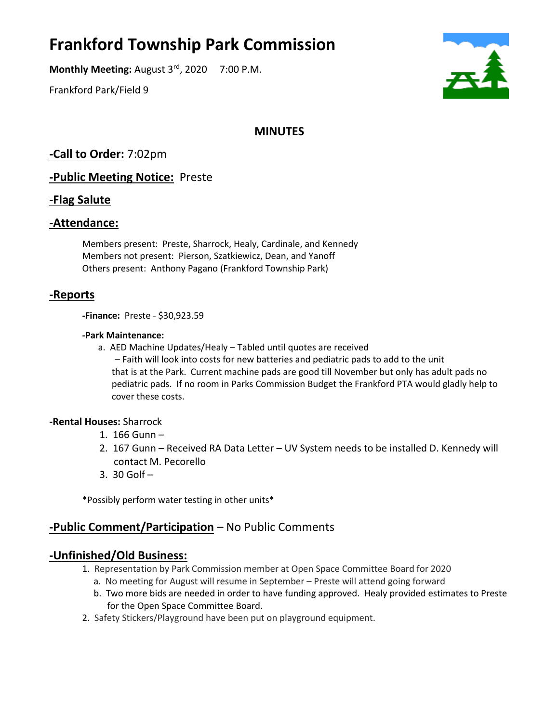# **Frankford Township Park Commission**

**Monthly Meeting:** August 3rd, 2020 7:00 P.M.

Frankford Park/Field 9



# **MINUTES**

**-Call to Order:** 7:02pm

**-Public Meeting Notice:** Preste

## **-Flag Salute**

### **-Attendance:**

Members present: Preste, Sharrock, Healy, Cardinale, and Kennedy Members not present: Pierson, Szatkiewicz, Dean, and Yanoff Others present: Anthony Pagano (Frankford Township Park)

## **-Reports**

**-Finance:** Preste - \$30,923.59

#### **-Park Maintenance:**

a. AED Machine Updates/Healy – Tabled until quotes are received – Faith will look into costs for new batteries and pediatric pads to add to the unit that is at the Park. Current machine pads are good till November but only has adult pads no pediatric pads. If no room in Parks Commission Budget the Frankford PTA would gladly help to cover these costs.

#### **-Rental Houses:** Sharrock

- 1. 166 Gunn –
- 2. 167 Gunn Received RA Data Letter UV System needs to be installed D. Kennedy will contact M. Pecorello
- 3.  $30$  Golf  $-$

\*Possibly perform water testing in other units\*

## **-Public Comment/Participation** – No Public Comments

## **-Unfinished/Old Business:**

- 1. Representation by Park Commission member at Open Space Committee Board for 2020
	- a. No meeting for August will resume in September Preste will attend going forward
	- b. Two more bids are needed in order to have funding approved. Healy provided estimates to Preste for the Open Space Committee Board.
- 2. Safety Stickers/Playground have been put on playground equipment.